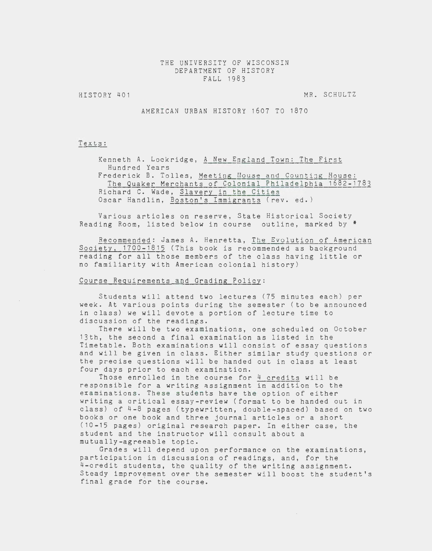#### THE UNIVERSITY OF WISCONSIN DEPARTMENT OF HISTORY FALL 1983

HISTORY 401

MR. SCHULTZ

#### AMERICAN URBAN HISTORY 1607 TO 1870

#### Texts:

Kenneth A. Lockridge, A New England Town: The First Hundred Years Frederick B. Tolles, Meeting House and Counting House: The Quaker Merchants of Colonial Philadelphia 1682-1783 Richard C. Wade, Slavery in the Cities Oscar Handlin, Boston's Immigrants (rev. ed.)

Various articles on reserve, State Historical Society Reading Room, listed below in course outline, marked by \*

Recommended: James A. Henretta, The Evolution of American Society, 1700-1815 (This book is recommended as background reading for all those members of the class having little or no familiarity with American colonial history)

#### Course Requirements and Grading Policy:

Students will attend two lectures (75 minutes each) per week. At various points during the semester (to be announced in class) we will devote a portion of lecture time to discussion of the readings.

There will be two examinations, one scheduled on October 13th, the second a final examination as listed in the Timetable. Both examinations will consist of essay questions and will be given in class. Either similar study questions or the precise questions will be handed out in class at least four days prior to each examination.

Those enrolled in the course for  $4$  credits will be responsible for a writing assignment in addition to the examinations. These students have the option of either writing a critical essay-review (format to be handed out in class) of 4-8 pages (typewritten, double-spaced) based on two books or one book and three journal articles or a short (10-15 pages) original research paper. In either case, the student and the instructor will consult about a mutually-agreeable topic.

Grades will depend upon performance on the examinations, participation in discussions of readings, and, for the 4-credit students, the quality of the writing assignment. Steady improvement over the semester will boost the student's final grade for the course.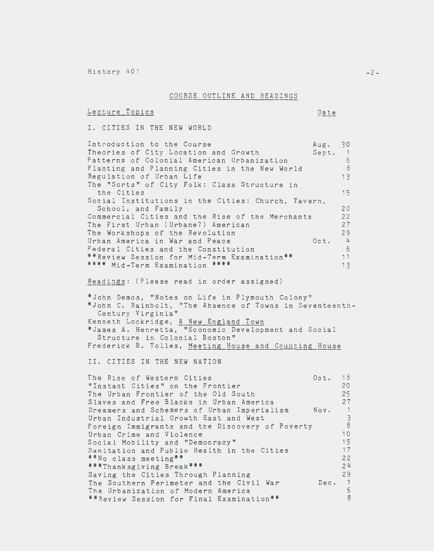History 401

#### COURSE OUTLINE AND READINGS

#### Lecture Topics

Date

I. CITIES IN THE NEW WORLD

Introduction to the Course **Aug.** 30 Theories of City Location and Growth Sept. 1<br>Patterns of Colonial American Urbanization 6 Patterns of Colonial American Urbanization 6<br>Planting and Planning Cities in the New World 6 Planting and Planning Cities in the New World 8<br>Regulation of Urban Life 13 Regulation of Urban Life The "Sorts" of City Folk: Class Structure in the Cities **15** Social Institutions in the Cities: Church, Tavern, School, and Family<br>mmercial Cities and the Rise of the Merchants 22 Commercial Cities and the Rise of the Merchants 22<br>The First Urban (Urbane?) American 27 The First Urban (Urbane?) American 27<br>The Workshops of the Revolution 29 The Workshops of the Revolution 29<br>Urban America in War and Peace 2006. 29 Urban America in War and Peace  $0$ ct.  $\frac{4}{5}$ <br>Federal Cities and the Constitution 6 Federal Cities and the Constitution<br>
\*\*Review Session for Mid-Term Examination \*\* 11 \*\*Review Session for Mid-Term Examination\*\* 11<br>\*\*\*\* Mid-Term Examination \*\*\*\* \*\*\*\* Mid-Term Examination \*\*\*\*

Readings: (Please read in order assigned)

\*John Demos, "Notes on Life in Plymouth Colony" \*John C. Rainbolt, "The Absence of Towns in Seventeenth-Century Virginia" Kenneth Lockridge, A New England Town \*James A. Henretta, "Economic Development and Social Structure in Colonial Boston"

Frederick B. Tolles, Meeting House and Counting House

II. CITIES IN THE NEW NATION

| The Rise of Western Cities<br>"Instant Cities" on the Frontier<br>The Urban Frontier of the Old South | Oct. 18 | 20<br>25                |
|-------------------------------------------------------------------------------------------------------|---------|-------------------------|
| Slaves and Free Blacks in Urban America                                                               |         | 27                      |
| Dreamers and Schemers of Urban Imperialism                                                            | Nov.    | $\overline{1}$          |
| Urban Industrial Growth East and West                                                                 |         | $\overline{\mathbf{3}}$ |
| Foreign Immigrants and the Discovery of Poverty                                                       |         | 8                       |
| Urban Crime and Violence                                                                              |         | 10                      |
| Social Mobility and "Democracy"                                                                       |         | 15                      |
| Sanitation and Public Health in the Cities                                                            |         | 17                      |
| **No class meeting**                                                                                  |         | 22                      |
| ***Thanksgiving Break***                                                                              |         | 24                      |
| Saving the Cities Through Planning                                                                    |         | 29                      |
| The Southern Perimeter and the Civil War                                                              | Dec. 1  |                         |
| The Urbanization of Modern America                                                                    |         | 6                       |
| **Review Session for Final Examination**                                                              |         | 8                       |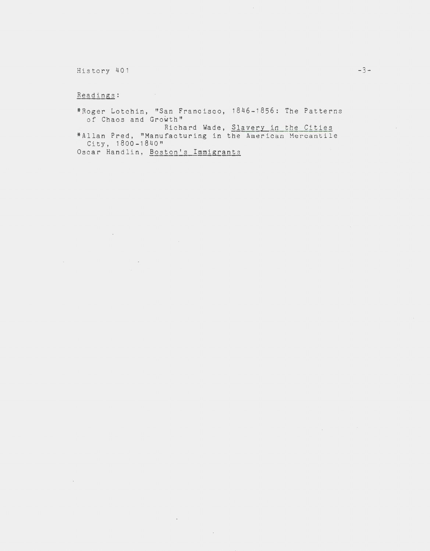History 401

 $\sim 10^{-11}$ 

 $\mathcal{O}(\mathcal{O})$ 

 $\sim 10^{-10}$ 

 $\sim 10^7$ 

 $\sim 10^{-1}$ 

 $\sim 10$ 

## Readings:

\*Roger Lotchin, "San Francisco, 1846-1856: The Patterns of Chaos and Growth" Richard Wade, Slavery in the Cities<br>\*Allan Pred, "Manufacturing in the American Mercantile<br>City, 1800-1840" Oscar Handlin, Boston's Immigrants

 $\overline{\phantom{a}}$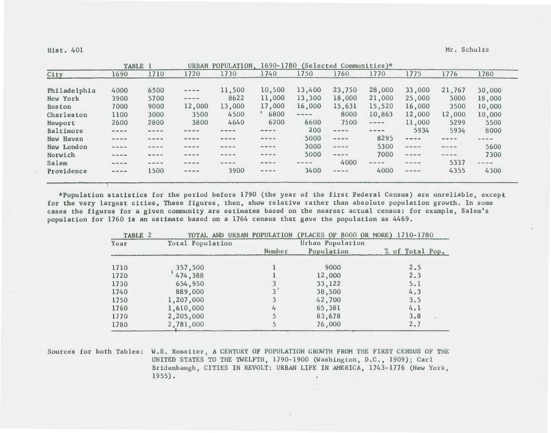Hist. 401 Mr. Schultz

|               |                                                 | TABLE 1   |                                                         | POPULATION. |                                                                                          | 1690-1780<br>(Selected Communities) $*$ |                                                                                                                                                      |                                                                                                                                                                                                                                                                                                                                                                                              |                                                                                                                                                                                                                                                                                                                                                                                              |                                                                                                                                                                                                                                                                                                                                                                                              |                                                                                                                                                                                                                                                                                                                                                                                              |
|---------------|-------------------------------------------------|-----------|---------------------------------------------------------|-------------|------------------------------------------------------------------------------------------|-----------------------------------------|------------------------------------------------------------------------------------------------------------------------------------------------------|----------------------------------------------------------------------------------------------------------------------------------------------------------------------------------------------------------------------------------------------------------------------------------------------------------------------------------------------------------------------------------------------|----------------------------------------------------------------------------------------------------------------------------------------------------------------------------------------------------------------------------------------------------------------------------------------------------------------------------------------------------------------------------------------------|----------------------------------------------------------------------------------------------------------------------------------------------------------------------------------------------------------------------------------------------------------------------------------------------------------------------------------------------------------------------------------------------|----------------------------------------------------------------------------------------------------------------------------------------------------------------------------------------------------------------------------------------------------------------------------------------------------------------------------------------------------------------------------------------------|
| City          | 1690                                            | 1710      | 1720                                                    | 1730        | 1740                                                                                     | 1750                                    | 1760                                                                                                                                                 | 1770                                                                                                                                                                                                                                                                                                                                                                                         | 1775                                                                                                                                                                                                                                                                                                                                                                                         | 1776                                                                                                                                                                                                                                                                                                                                                                                         | 1780                                                                                                                                                                                                                                                                                                                                                                                         |
| Philadelphia  | 4000                                            | 6500      | $\cdots \cdots \cdots$                                  | 11,500      | 10,500                                                                                   | 13,400                                  | 23,750                                                                                                                                               | 28,000                                                                                                                                                                                                                                                                                                                                                                                       | 33,000                                                                                                                                                                                                                                                                                                                                                                                       | 21,767                                                                                                                                                                                                                                                                                                                                                                                       | 30,000                                                                                                                                                                                                                                                                                                                                                                                       |
| New York      | 3900                                            | 5700      | $= -$                                                   | 8622        | 11,000                                                                                   | 13,300                                  | 18,000                                                                                                                                               | 21,000                                                                                                                                                                                                                                                                                                                                                                                       | 25,000                                                                                                                                                                                                                                                                                                                                                                                       | 5000                                                                                                                                                                                                                                                                                                                                                                                         | 18,000                                                                                                                                                                                                                                                                                                                                                                                       |
| <b>Boston</b> | 7000                                            | 9000      | 12,000                                                  | 13,000      | 17,000                                                                                   | 16,000                                  | 15,631                                                                                                                                               | 15,520                                                                                                                                                                                                                                                                                                                                                                                       | 16,000                                                                                                                                                                                                                                                                                                                                                                                       | 3500                                                                                                                                                                                                                                                                                                                                                                                         | 10,000                                                                                                                                                                                                                                                                                                                                                                                       |
| Charleston    | 1100                                            | 3000      | 3500                                                    | 4500        | 6800                                                                                     | $\cdots$                                | 8000                                                                                                                                                 | 10,863                                                                                                                                                                                                                                                                                                                                                                                       | 12,000                                                                                                                                                                                                                                                                                                                                                                                       | 12,000                                                                                                                                                                                                                                                                                                                                                                                       | 10,000                                                                                                                                                                                                                                                                                                                                                                                       |
| Newport       | 2600                                            | 2800      | 3800                                                    | 4640        | 6200                                                                                     | 6600                                    | 7500                                                                                                                                                 | $\cdots \cdots \cdots$                                                                                                                                                                                                                                                                                                                                                                       | .11,000                                                                                                                                                                                                                                                                                                                                                                                      | 5299                                                                                                                                                                                                                                                                                                                                                                                         | 5500                                                                                                                                                                                                                                                                                                                                                                                         |
| Baltimore     | $\alpha\alpha\equiv\alpha\alpha\ll\alpha\alpha$ | $= - - -$ |                                                         |             | $m = -1$                                                                                 | 200                                     | $\frac{1}{2} \left( \frac{1}{2} \right) \left( \frac{1}{2} \right) \left( \frac{1}{2} \right) \left( \frac{1}{2} \right) \left( \frac{1}{2} \right)$ | $m = \infty$                                                                                                                                                                                                                                                                                                                                                                                 | 5934                                                                                                                                                                                                                                                                                                                                                                                         | 5934                                                                                                                                                                                                                                                                                                                                                                                         | 8000                                                                                                                                                                                                                                                                                                                                                                                         |
| New Haven     | $= - - -$                                       |           |                                                         | ---         | $\sin\theta$ and $\sin\theta$ and                                                        | 5000                                    | $\cdots \cdots$                                                                                                                                      | 8295                                                                                                                                                                                                                                                                                                                                                                                         | $= - - -$                                                                                                                                                                                                                                                                                                                                                                                    | $\cdots$                                                                                                                                                                                                                                                                                                                                                                                     | $- - - -$                                                                                                                                                                                                                                                                                                                                                                                    |
| New London    | $\cdots$ = = $\cdots$                           |           | ---                                                     | $= -1$      | $ 40 - 1$                                                                                | 3000                                    | $\frac{1}{2}$                                                                                                                                        | 5300                                                                                                                                                                                                                                                                                                                                                                                         | $- - - -$                                                                                                                                                                                                                                                                                                                                                                                    | $\frac{1}{2} \frac{1}{2} \frac{1}{2} \frac{1}{2} \frac{1}{2} \frac{1}{2} \frac{1}{2} \frac{1}{2} \frac{1}{2} \frac{1}{2} \frac{1}{2} \frac{1}{2} \frac{1}{2} \frac{1}{2} \frac{1}{2} \frac{1}{2} \frac{1}{2} \frac{1}{2} \frac{1}{2} \frac{1}{2} \frac{1}{2} \frac{1}{2} \frac{1}{2} \frac{1}{2} \frac{1}{2} \frac{1}{2} \frac{1}{2} \frac{1}{2} \frac{1}{2} \frac{1}{2} \frac{1}{2} \frac{$ | 5600                                                                                                                                                                                                                                                                                                                                                                                         |
| Norwich       | $= - - -$                                       | $= - - -$ | $m \cdot m = m$                                         | ----        | $\qquad \qquad \blacksquare \qquad \blacksquare \qquad \blacksquare \qquad \blacksquare$ | 5000                                    | $= - - -$                                                                                                                                            | 7000                                                                                                                                                                                                                                                                                                                                                                                         | $\cdots \cdots \cdots$                                                                                                                                                                                                                                                                                                                                                                       | $- - - -$                                                                                                                                                                                                                                                                                                                                                                                    | 7300                                                                                                                                                                                                                                                                                                                                                                                         |
| Salem         | <b>By the state</b>                             | ---       | $\cdots \cdots \cdots$                                  | $= - -$     |                                                                                          |                                         | 4000                                                                                                                                                 | $\frac{1}{2} \frac{1}{2} \frac{1}{2} \frac{1}{2} \frac{1}{2} \frac{1}{2} \frac{1}{2} \frac{1}{2} \frac{1}{2} \frac{1}{2} \frac{1}{2} \frac{1}{2} \frac{1}{2} \frac{1}{2} \frac{1}{2} \frac{1}{2} \frac{1}{2} \frac{1}{2} \frac{1}{2} \frac{1}{2} \frac{1}{2} \frac{1}{2} \frac{1}{2} \frac{1}{2} \frac{1}{2} \frac{1}{2} \frac{1}{2} \frac{1}{2} \frac{1}{2} \frac{1}{2} \frac{1}{2} \frac{$ | $- - - -$                                                                                                                                                                                                                                                                                                                                                                                    | 5337                                                                                                                                                                                                                                                                                                                                                                                         | $\frac{1}{2} \frac{1}{2} \frac{1}{2} \frac{1}{2} \frac{1}{2} \frac{1}{2} \frac{1}{2} \frac{1}{2} \frac{1}{2} \frac{1}{2} \frac{1}{2} \frac{1}{2} \frac{1}{2} \frac{1}{2} \frac{1}{2} \frac{1}{2} \frac{1}{2} \frac{1}{2} \frac{1}{2} \frac{1}{2} \frac{1}{2} \frac{1}{2} \frac{1}{2} \frac{1}{2} \frac{1}{2} \frac{1}{2} \frac{1}{2} \frac{1}{2} \frac{1}{2} \frac{1}{2} \frac{1}{2} \frac{$ |
| Providence    | $\qquad \qquad \cdots \qquad \qquad \cdots$     | 1500      | $\omega_1 \cdot \omega_2 \cdot \omega_3 \cdot \omega_4$ | 3900        | $\qquad \qquad \  \  \, \ldots \, \qquad \quad \  \  \, \ldots$                          | 3400                                    | $- - - -$                                                                                                                                            | 4000                                                                                                                                                                                                                                                                                                                                                                                         | $\frac{1}{2} \frac{1}{2} \frac{1}{2} \frac{1}{2} \frac{1}{2} \frac{1}{2} \frac{1}{2} \frac{1}{2} \frac{1}{2} \frac{1}{2} \frac{1}{2} \frac{1}{2} \frac{1}{2} \frac{1}{2} \frac{1}{2} \frac{1}{2} \frac{1}{2} \frac{1}{2} \frac{1}{2} \frac{1}{2} \frac{1}{2} \frac{1}{2} \frac{1}{2} \frac{1}{2} \frac{1}{2} \frac{1}{2} \frac{1}{2} \frac{1}{2} \frac{1}{2} \frac{1}{2} \frac{1}{2} \frac{$ | 4355                                                                                                                                                                                                                                                                                                                                                                                         | 4300                                                                                                                                                                                                                                                                                                                                                                                         |
|               |                                                 |           |                                                         |             |                                                                                          |                                         |                                                                                                                                                      |                                                                                                                                                                                                                                                                                                                                                                                              |                                                                                                                                                                                                                                                                                                                                                                                              |                                                                                                                                                                                                                                                                                                                                                                                              |                                                                                                                                                                                                                                                                                                                                                                                              |

\*Population statistics for the period before 1790 (the year of the first Federal Census) are unreliable, except for the very largest cities. These figures, then, show relative rather than absolute population growth. In some cases the figures for a given community are estimates based on the nearest actual census; for example, Salem's population for 1760 is an estimate based on a 1764 census that gave the population as 4469.

| TABLE 2 |                  |                  | TOTAL AND URBAN POPULATION (PLACES OF 8000 OR MORE) 1710-1780 |                 |  |  |  |
|---------|------------------|------------------|---------------------------------------------------------------|-----------------|--|--|--|
| Year    | Total Population | Urban Population |                                                               |                 |  |  |  |
|         |                  | Number           | Population                                                    | % of Total Pop. |  |  |  |
|         |                  |                  |                                                               |                 |  |  |  |
| 1710    | 357,500          |                  | 9000                                                          | 2.5             |  |  |  |
| 1720    | 474,388          |                  | 12,000                                                        | 2.3             |  |  |  |
| 1730    | 654,950          |                  | 33,122                                                        | 5.1             |  |  |  |
| 1740    | 889,000          |                  | 38,500                                                        | 4.3             |  |  |  |
| 1750    | 1,207,000        |                  | 42,700                                                        | 3.5             |  |  |  |
| 1760    | 1,610,000        | 4                | 65,381                                                        | 4.1             |  |  |  |
| 1770    | 2,205,000        | 5                | 83,678                                                        | 3.8             |  |  |  |
| 1780    | 2,781,000        |                  | 76,000                                                        | 2,7             |  |  |  |

Sources for both Tables: W.S. Rossiter, A CENTURY OF POPULATION GROWTH FROM THE FIRST CENSUS OF THE UNITED STATES TO THE TWELFTH, 1790-1900 (Washington, D.C., 1909); Carl Bridenbaugh, CITIES IN REVOLT: URBAN LIFE IN AMERICA, 1743-1776 (New York, 1955).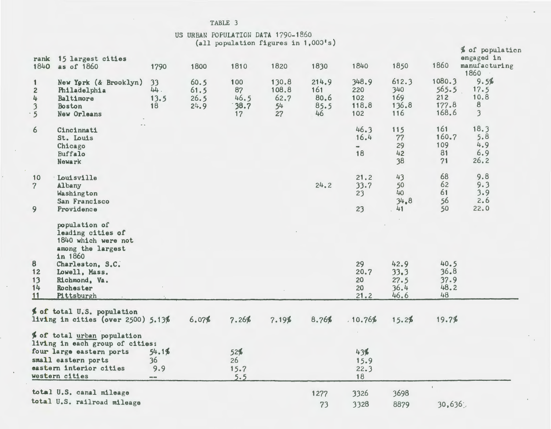# US URBAN POPULATION DATA 1790-1860<br>(all population figures in  $1,000$ <sup>'s</sup>)

|                                                                                  | total U.S. canal mileage<br>total U.S. railroad mileage                                                                                                                           |                              |                              |                                 |                                    | 1277<br>73                         | 3326<br>3328                        | 3698<br>8879                         | 30,636                                   |                                                        |
|----------------------------------------------------------------------------------|-----------------------------------------------------------------------------------------------------------------------------------------------------------------------------------|------------------------------|------------------------------|---------------------------------|------------------------------------|------------------------------------|-------------------------------------|--------------------------------------|------------------------------------------|--------------------------------------------------------|
|                                                                                  | of total urban population<br>living in each group of cities:<br>four large eastern ports<br>small eastern ports<br>eastern interior cities<br>western cities                      | 54.1%<br>36<br>9.9<br>$\sim$ |                              | 52%<br>26<br>15.7<br>5.5        |                                    |                                    | 436<br>15.9<br>22.3<br>18           |                                      | $\mathbb{L}$                             |                                                        |
|                                                                                  | % of total U.S. population<br>living in cities (over 2500) 5.13%                                                                                                                  |                              | 6.07%                        | 7.26%                           | 7.19%                              | 8.76%                              | .10.76%                             | 15.2%                                | 19.7%                                    |                                                        |
| 8<br>12<br>13<br>14<br>11                                                        | population of<br>leading cities of<br>1840 which were not<br>among the largest<br>in 1860<br>Charleston, S.C.<br>Lowell, Mass.<br>Richmond, Va.<br>Rochester<br><b>Pittsburgh</b> |                              |                              |                                 |                                    |                                    | 29<br>20.7<br>20<br>20<br>21.2      | 42.9<br>33.3<br>27.5<br>36.4<br>46.6 | 40.5<br>36.8<br>37.9<br>48.2<br>48       |                                                        |
| 10<br>$\overline{7}$<br>9                                                        | Louisville<br>Albany<br>Washington<br>San Francisco<br>Providence                                                                                                                 |                              |                              |                                 |                                    | 24.2                               | 21.2<br>33.7<br>23<br>23            | 43<br>50<br>40<br>34.8<br>41         | 68<br>62<br>61<br>56<br>50               | 9.8<br>9.3<br>3.9<br>2.6<br>22.0                       |
| 6                                                                                | Cincinnati<br>St. Louis<br>Chicago<br>Buffalo<br>Newark                                                                                                                           |                              |                              |                                 |                                    |                                    | 46.3<br>16.4<br>18                  | 115<br>77<br>29<br>42<br>38          | 161<br>160.7<br>109<br>81<br>71          | 18.3<br>5.8<br>4.9<br>6.9<br>26.2                      |
| $\mathbf{1}$<br>$\overline{2}$<br>4<br>$\overline{\mathbf{3}}$<br>$\mathfrak{h}$ | New York (& Brooklyn)<br>Philadelphia<br>Baltimore<br><b>Boston</b><br>New Orleans                                                                                                | 33<br>44.<br>13.5<br>18      | 60.5<br>61.5<br>26.5<br>24.9 | 100<br>87<br>46.5<br>38.7<br>17 | 130.8<br>108.8<br>62.7<br>54<br>27 | 214.9<br>161<br>80.6<br>85.5<br>46 | 348.9<br>220<br>102<br>118.8<br>102 | 612.3<br>340<br>169<br>136.8<br>116  | 1080.3<br>565.5<br>212<br>177.8<br>168.6 | 9.5%<br>17.5<br>10.8<br>8<br>$\overline{\mathbf{3}}$   |
| 1840                                                                             | rank 15 largest cities<br>as of 1860                                                                                                                                              | 1790                         | 1800                         | 1810                            | 1820                               | 1830                               | 1840                                | 1850                                 | 1860                                     | % of population<br>engaged in<br>manufacturing<br>1860 |